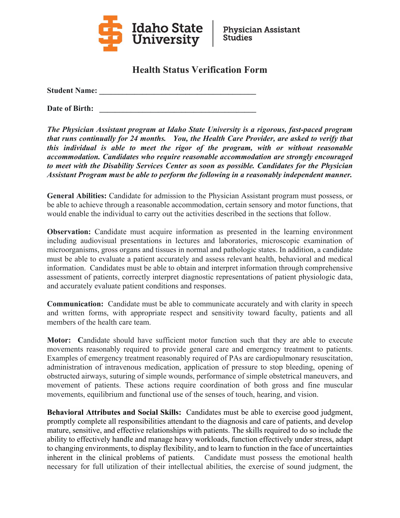

## **Health Status Verification Form**

**Student Name: \_\_\_\_\_\_\_\_\_\_\_\_\_\_\_\_\_\_\_\_\_\_\_\_\_\_\_\_\_\_\_\_\_\_\_\_\_\_\_\_** 

Date of Birth:

*The Physician Assistant program at Idaho State University is a rigorous, fast-paced program that runs continually for 24 months. You, the Health Care Provider, are asked to verify that this individual is able to meet the rigor of the program, with or without reasonable accommodation. Candidates who require reasonable accommodation are strongly encouraged to meet with the Disability Services Center as soon as possible. Candidates for the Physician Assistant Program must be able to perform the following in a reasonably independent manner.* 

**General Abilities:** Candidate for admission to the Physician Assistant program must possess, or be able to achieve through a reasonable accommodation, certain sensory and motor functions, that would enable the individual to carry out the activities described in the sections that follow.

**Observation:** Candidate must acquire information as presented in the learning environment including audiovisual presentations in lectures and laboratories, microscopic examination of microorganisms, gross organs and tissues in normal and pathologic states. In addition, a candidate must be able to evaluate a patient accurately and assess relevant health, behavioral and medical information. Candidates must be able to obtain and interpret information through comprehensive assessment of patients, correctly interpret diagnostic representations of patient physiologic data, and accurately evaluate patient conditions and responses.

**Communication:** Candidate must be able to communicate accurately and with clarity in speech and written forms, with appropriate respect and sensitivity toward faculty, patients and all members of the health care team.

**Motor: C**andidate should have sufficient motor function such that they are able to execute movements reasonably required to provide general care and emergency treatment to patients. Examples of emergency treatment reasonably required of PAs are cardiopulmonary resuscitation, administration of intravenous medication, application of pressure to stop bleeding, opening of obstructed airways, suturing of simple wounds, performance of simple obstetrical maneuvers, and movement of patients. These actions require coordination of both gross and fine muscular movements, equilibrium and functional use of the senses of touch, hearing, and vision.

**Behavioral Attributes and Social Skills:** Candidates must be able to exercise good judgment, promptly complete all responsibilities attendant to the diagnosis and care of patients, and develop mature, sensitive, and effective relationships with patients. The skills required to do so include the ability to effectively handle and manage heavy workloads, function effectively under stress, adapt to changing environments, to display flexibility, and to learn to function in the face of uncertainties inherent in the clinical problems of patients. Candidate must possess the emotional health necessary for full utilization of their intellectual abilities, the exercise of sound judgment, the